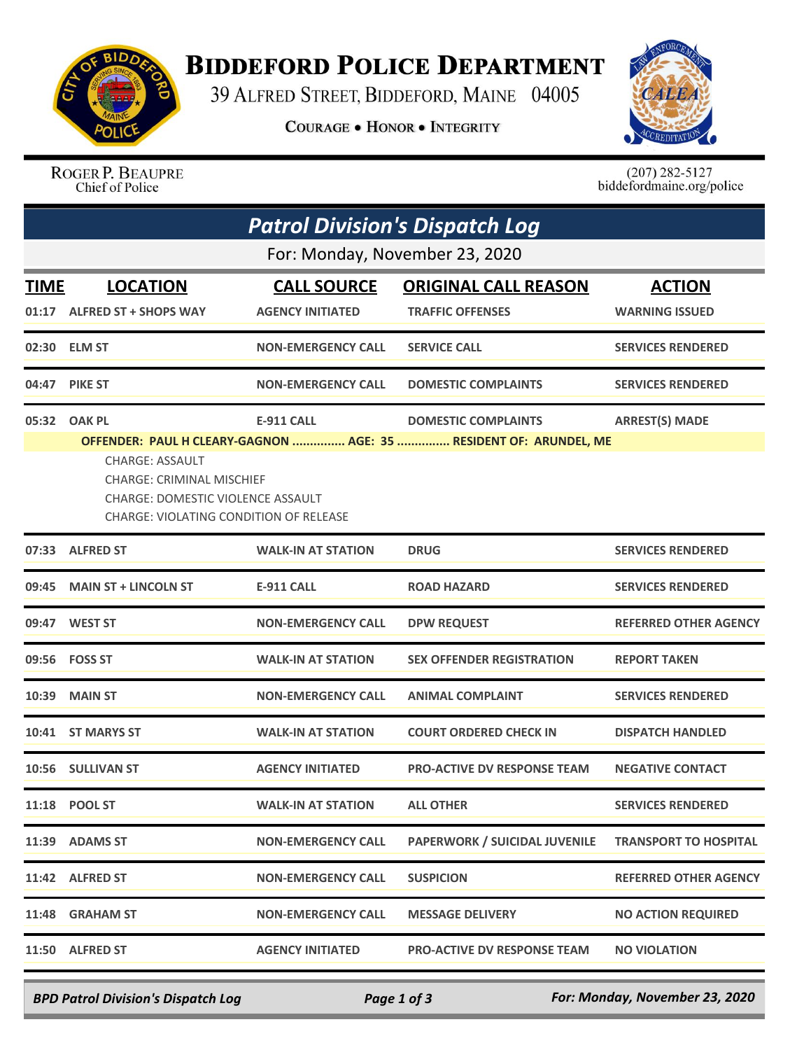

## **BIDDEFORD POLICE DEPARTMENT**

39 ALFRED STREET, BIDDEFORD, MAINE 04005

**COURAGE . HONOR . INTEGRITY** 



ROGER P. BEAUPRE<br>Chief of Police

 $(207)$  282-5127<br>biddefordmaine.org/police

|                                | <b>Patrol Division's Dispatch Log</b>                                                                                                                                                                                 |                           |                                      |                              |  |  |  |  |
|--------------------------------|-----------------------------------------------------------------------------------------------------------------------------------------------------------------------------------------------------------------------|---------------------------|--------------------------------------|------------------------------|--|--|--|--|
| For: Monday, November 23, 2020 |                                                                                                                                                                                                                       |                           |                                      |                              |  |  |  |  |
| <b>TIME</b>                    | <b>LOCATION</b>                                                                                                                                                                                                       | <b>CALL SOURCE</b>        | <b>ORIGINAL CALL REASON</b>          | <b>ACTION</b>                |  |  |  |  |
|                                | 01:17 ALFRED ST + SHOPS WAY                                                                                                                                                                                           | <b>AGENCY INITIATED</b>   | <b>TRAFFIC OFFENSES</b>              | <b>WARNING ISSUED</b>        |  |  |  |  |
|                                | 02:30 ELM ST                                                                                                                                                                                                          | <b>NON-EMERGENCY CALL</b> | <b>SERVICE CALL</b>                  | <b>SERVICES RENDERED</b>     |  |  |  |  |
|                                | 04:47 PIKE ST                                                                                                                                                                                                         | <b>NON-EMERGENCY CALL</b> | <b>DOMESTIC COMPLAINTS</b>           | <b>SERVICES RENDERED</b>     |  |  |  |  |
|                                | 05:32 OAK PL                                                                                                                                                                                                          | <b>E-911 CALL</b>         | <b>DOMESTIC COMPLAINTS</b>           | <b>ARREST(S) MADE</b>        |  |  |  |  |
|                                | OFFENDER: PAUL H CLEARY-GAGNON  AGE: 35  RESIDENT OF: ARUNDEL, ME<br><b>CHARGE: ASSAULT</b><br><b>CHARGE: CRIMINAL MISCHIEF</b><br><b>CHARGE: DOMESTIC VIOLENCE ASSAULT</b><br>CHARGE: VIOLATING CONDITION OF RELEASE |                           |                                      |                              |  |  |  |  |
|                                | 07:33 ALFRED ST                                                                                                                                                                                                       | <b>WALK-IN AT STATION</b> | <b>DRUG</b>                          | <b>SERVICES RENDERED</b>     |  |  |  |  |
| 09:45                          | <b>MAIN ST + LINCOLN ST</b>                                                                                                                                                                                           | <b>E-911 CALL</b>         | <b>ROAD HAZARD</b>                   | <b>SERVICES RENDERED</b>     |  |  |  |  |
|                                | 09:47 WEST ST                                                                                                                                                                                                         | <b>NON-EMERGENCY CALL</b> | <b>DPW REQUEST</b>                   | <b>REFERRED OTHER AGENCY</b> |  |  |  |  |
|                                | 09:56 FOSS ST                                                                                                                                                                                                         | <b>WALK-IN AT STATION</b> | <b>SEX OFFENDER REGISTRATION</b>     | <b>REPORT TAKEN</b>          |  |  |  |  |
| 10:39                          | <b>MAIN ST</b>                                                                                                                                                                                                        | <b>NON-EMERGENCY CALL</b> | <b>ANIMAL COMPLAINT</b>              | <b>SERVICES RENDERED</b>     |  |  |  |  |
|                                | 10:41 ST MARYS ST                                                                                                                                                                                                     | <b>WALK-IN AT STATION</b> | <b>COURT ORDERED CHECK IN</b>        | <b>DISPATCH HANDLED</b>      |  |  |  |  |
|                                | 10:56 SULLIVAN ST                                                                                                                                                                                                     | <b>AGENCY INITIATED</b>   | <b>PRO-ACTIVE DV RESPONSE TEAM</b>   | <b>NEGATIVE CONTACT</b>      |  |  |  |  |
|                                | 11:18 POOL ST                                                                                                                                                                                                         | <b>WALK-IN AT STATION</b> | <b>ALL OTHER</b>                     | <b>SERVICES RENDERED</b>     |  |  |  |  |
|                                | 11:39 ADAMS ST                                                                                                                                                                                                        | <b>NON-EMERGENCY CALL</b> | <b>PAPERWORK / SUICIDAL JUVENILE</b> | <b>TRANSPORT TO HOSPITAL</b> |  |  |  |  |
|                                | 11:42 ALFRED ST                                                                                                                                                                                                       | <b>NON-EMERGENCY CALL</b> | <b>SUSPICION</b>                     | <b>REFERRED OTHER AGENCY</b> |  |  |  |  |
| 11:48                          | <b>GRAHAM ST</b>                                                                                                                                                                                                      | <b>NON-EMERGENCY CALL</b> | <b>MESSAGE DELIVERY</b>              | <b>NO ACTION REQUIRED</b>    |  |  |  |  |
| 11:50                          | <b>ALFRED ST</b>                                                                                                                                                                                                      | <b>AGENCY INITIATED</b>   | <b>PRO-ACTIVE DV RESPONSE TEAM</b>   | <b>NO VIOLATION</b>          |  |  |  |  |

*BPD Patrol Division's Dispatch Log Page 1 of 3 For: Monday, November 23, 2020*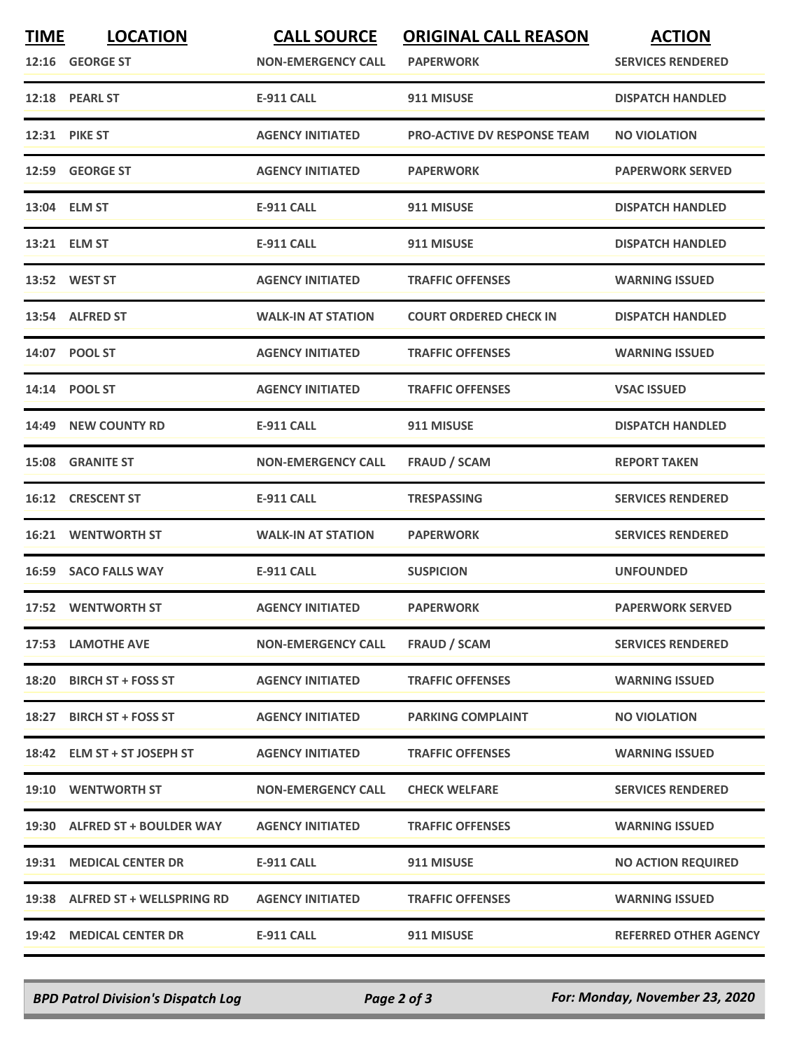| <b>TIME</b> | <b>LOCATION</b><br>12:16 GEORGE ST | <b>CALL SOURCE</b><br><b>NON-EMERGENCY CALL</b> | <b>ORIGINAL CALL REASON</b><br><b>PAPERWORK</b> | <b>ACTION</b><br><b>SERVICES RENDERED</b> |
|-------------|------------------------------------|-------------------------------------------------|-------------------------------------------------|-------------------------------------------|
|             | 12:18 PEARL ST                     | <b>E-911 CALL</b>                               | 911 MISUSE                                      | <b>DISPATCH HANDLED</b>                   |
|             | <b>12:31 PIKE ST</b>               | <b>AGENCY INITIATED</b>                         | <b>PRO-ACTIVE DV RESPONSE TEAM</b>              | <b>NO VIOLATION</b>                       |
|             | 12:59 GEORGE ST                    | <b>AGENCY INITIATED</b>                         | <b>PAPERWORK</b>                                | <b>PAPERWORK SERVED</b>                   |
|             | 13:04 ELM ST                       | <b>E-911 CALL</b>                               | 911 MISUSE                                      | <b>DISPATCH HANDLED</b>                   |
|             | 13:21 ELM ST                       | <b>E-911 CALL</b>                               | 911 MISUSE                                      | <b>DISPATCH HANDLED</b>                   |
|             | 13:52 WEST ST                      | <b>AGENCY INITIATED</b>                         | <b>TRAFFIC OFFENSES</b>                         | <b>WARNING ISSUED</b>                     |
|             | 13:54 ALFRED ST                    | <b>WALK-IN AT STATION</b>                       | <b>COURT ORDERED CHECK IN</b>                   | <b>DISPATCH HANDLED</b>                   |
|             | 14:07 POOL ST                      | <b>AGENCY INITIATED</b>                         | <b>TRAFFIC OFFENSES</b>                         | <b>WARNING ISSUED</b>                     |
|             | 14:14 POOL ST                      | <b>AGENCY INITIATED</b>                         | <b>TRAFFIC OFFENSES</b>                         | <b>VSAC ISSUED</b>                        |
|             | 14:49 NEW COUNTY RD                | E-911 CALL                                      | 911 MISUSE                                      | <b>DISPATCH HANDLED</b>                   |
|             | <b>15:08 GRANITE ST</b>            | <b>NON-EMERGENCY CALL</b>                       | <b>FRAUD / SCAM</b>                             | <b>REPORT TAKEN</b>                       |
|             | 16:12 CRESCENT ST                  | <b>E-911 CALL</b>                               | <b>TRESPASSING</b>                              | <b>SERVICES RENDERED</b>                  |
| 16:21       | <b>WENTWORTH ST</b>                | <b>WALK-IN AT STATION</b>                       | <b>PAPERWORK</b>                                | <b>SERVICES RENDERED</b>                  |
|             | 16:59 SACO FALLS WAY               | <b>E-911 CALL</b>                               | <b>SUSPICION</b>                                | <b>UNFOUNDED</b>                          |
|             | 17:52 WENTWORTH ST                 | <b>AGENCY INITIATED</b>                         | <b>PAPERWORK</b>                                | <b>PAPERWORK SERVED</b>                   |
|             | 17:53 LAMOTHE AVE                  | <b>NON-EMERGENCY CALL</b>                       | <b>FRAUD / SCAM</b>                             | <b>SERVICES RENDERED</b>                  |
|             | 18:20 BIRCH ST + FOSS ST           | <b>AGENCY INITIATED</b>                         | <b>TRAFFIC OFFENSES</b>                         | <b>WARNING ISSUED</b>                     |
|             | 18:27 BIRCH ST + FOSS ST           | <b>AGENCY INITIATED</b>                         | <b>PARKING COMPLAINT</b>                        | <b>NO VIOLATION</b>                       |
|             | 18:42 ELM ST + ST JOSEPH ST        | <b>AGENCY INITIATED</b>                         | <b>TRAFFIC OFFENSES</b>                         | <b>WARNING ISSUED</b>                     |
|             | 19:10 WENTWORTH ST                 | <b>NON-EMERGENCY CALL</b>                       | <b>CHECK WELFARE</b>                            | <b>SERVICES RENDERED</b>                  |
|             | 19:30 ALFRED ST + BOULDER WAY      | <b>AGENCY INITIATED</b>                         | <b>TRAFFIC OFFENSES</b>                         | <b>WARNING ISSUED</b>                     |
|             | 19:31 MEDICAL CENTER DR            | <b>E-911 CALL</b>                               | 911 MISUSE                                      | <b>NO ACTION REQUIRED</b>                 |
|             | 19:38 ALFRED ST + WELLSPRING RD    | <b>AGENCY INITIATED</b>                         | <b>TRAFFIC OFFENSES</b>                         | <b>WARNING ISSUED</b>                     |
|             | 19:42 MEDICAL CENTER DR            | <b>E-911 CALL</b>                               | 911 MISUSE                                      | <b>REFERRED OTHER AGENCY</b>              |

*BPD Patrol Division's Dispatch Log Page 2 of 3 For: Monday, November 23, 2020*